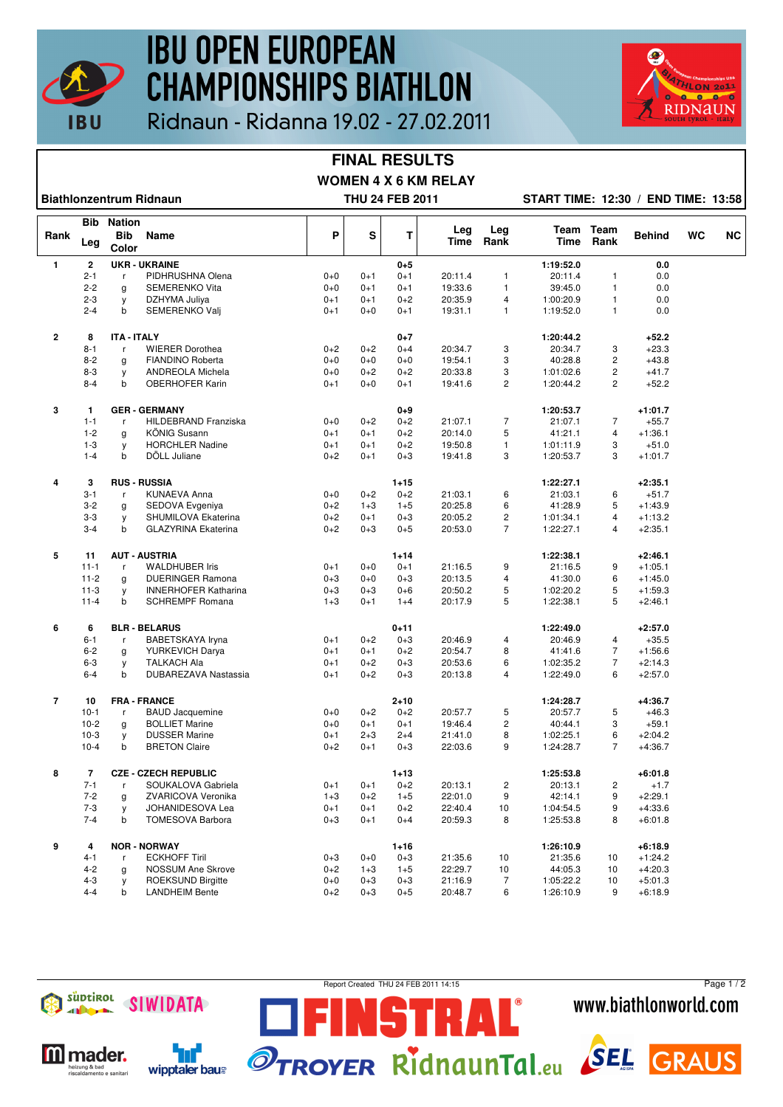

# **IBU OPEN EUROPEAN CHAMPIONSHIPS BIATHLON**



## Ridnaun - Ridanna 19.02 - 27.02.2011

#### **FINAL RESULTS WOMEN 4 X 6 KM RELAY**

**Biathlonzentrum Ridnaun THU 24 FEB 2011 START TIME: 12:30 / END TIME: 13:58**

|                | Bib            | <b>Nation</b>       |                             |         |         |          |             |                         |              | Team                    |               |    |           |
|----------------|----------------|---------------------|-----------------------------|---------|---------|----------|-------------|-------------------------|--------------|-------------------------|---------------|----|-----------|
| Rank           | Leg            | <b>Bib</b><br>Color | Name                        | P       | S       | Т        | Leg<br>Time | Leg<br>Rank             | Team<br>Time | Rank                    | <b>Behind</b> | WC | <b>NC</b> |
| 1              | $\mathbf 2$    |                     | <b>UKR - UKRAINE</b>        |         |         | $0 + 5$  |             |                         | 1:19:52.0    |                         | 0.0           |    |           |
|                | $2 - 1$        | r                   | PIDHRUSHNA Olena            | $0 + 0$ | $0 + 1$ | $0 + 1$  | 20:11.4     | 1                       | 20:11.4      | 1                       | 0.0           |    |           |
|                | $2 - 2$        | g                   | SEMERENKO Vita              | $0+0$   | $0 + 1$ | $0 + 1$  | 19:33.6     | $\mathbf{1}$            | 39:45.0      | $\mathbf{1}$            | 0.0           |    |           |
|                | $2 - 3$        | y                   | DZHYMA Juliya               | $0 + 1$ | $0 + 1$ | $0 + 2$  | 20:35.9     | 4                       | 1:00:20.9    | $\mathbf{1}$            | 0.0           |    |           |
|                | $2 - 4$        | b                   | SEMERENKO Valj              | $0 + 1$ | $0 + 0$ | $0 + 1$  | 19:31.1     | 1                       | 1:19:52.0    | $\mathbf{1}$            | 0.0           |    |           |
| $\overline{2}$ | 8              | <b>ITA - ITALY</b>  |                             |         |         | $0 + 7$  |             |                         | 1:20:44.2    |                         | $+52.2$       |    |           |
|                | $8 - 1$        | $\mathsf{r}$        | <b>WIERER Dorothea</b>      | $0+2$   | $0 + 2$ | $0 + 4$  | 20:34.7     | 3                       | 20:34.7      | 3                       | $+23.3$       |    |           |
|                | $8 - 2$        | g                   | FIANDINO Roberta            | $0+0$   | $0 + 0$ | $0+0$    | 19:54.1     | 3                       | 40:28.8      | $\overline{c}$          | $+43.8$       |    |           |
|                | $8 - 3$        | y                   | <b>ANDREOLA Michela</b>     | $0 + 0$ | $0 + 2$ | $0+2$    | 20:33.8     | 3                       | 1:01:02.6    | $\overline{c}$          | $+41.7$       |    |           |
|                | $8 - 4$        | b                   | <b>OBERHOFER Karin</b>      | $0 + 1$ | $0 + 0$ | $0 + 1$  | 19:41.6     | $\overline{c}$          | 1:20:44.2    | $\overline{2}$          | $+52.2$       |    |           |
| 3              | 1              |                     | <b>GER - GERMANY</b>        |         |         | $0 + 9$  |             |                         | 1:20:53.7    |                         | $+1:01.7$     |    |           |
|                | $1 - 1$        | r                   | HILDEBRAND Franziska        | $0 + 0$ | $0 + 2$ | $0+2$    | 21:07.1     | $\overline{7}$          | 21:07.1      | $\overline{7}$          | $+55.7$       |    |           |
|                | $1 - 2$        | g                   | <b>KÖNIG Susann</b>         | $0 + 1$ | $0 + 1$ | $0 + 2$  | 20:14.0     | 5                       | 41:21.1      | $\overline{\mathbf{4}}$ | $+1:36.1$     |    |           |
|                | $1 - 3$        | у                   | <b>HORCHLER Nadine</b>      | $0 + 1$ | $0 + 1$ | $0 + 2$  | 19:50.8     | $\mathbf{1}$            | 1:01:11.9    | 3                       | $+51.0$       |    |           |
|                | $1 - 4$        | b                   | DÖLL Juliane                | $0+2$   | $0 + 1$ | $0 + 3$  | 19:41.8     | 3                       | 1:20:53.7    | 3                       | $+1:01.7$     |    |           |
| 4              | 3              |                     | <b>RUS - RUSSIA</b>         |         |         | $1 + 15$ |             |                         | 1:22:27.1    |                         | $+2:35.1$     |    |           |
|                | $3 - 1$        | $\mathsf{r}$        | <b>KUNAEVA Anna</b>         | $0+0$   | $0 + 2$ | $0 + 2$  | 21:03.1     | 6                       | 21:03.1      | 6                       | $+51.7$       |    |           |
|                | $3 - 2$        | g                   | SEDOVA Evgeniya             | $0 + 2$ | $1 + 3$ | $1 + 5$  | 20:25.8     | 6                       | 41:28.9      | 5                       | $+1:43.9$     |    |           |
|                | $3 - 3$        | у                   | SHUMILOVA Ekaterina         | $0 + 2$ | $0 + 1$ | $0 + 3$  | 20:05.2     | $\overline{\mathbf{c}}$ | 1:01:34.1    | $\overline{4}$          | $+1:13.2$     |    |           |
|                | $3 - 4$        | b                   | <b>GLAZYRINA Ekaterina</b>  | $0 + 2$ | $0 + 3$ | $0 + 5$  | 20:53.0     | $\overline{7}$          | 1:22:27.1    | $\overline{4}$          | $+2:35.1$     |    |           |
| 5              | 11             |                     | <b>AUT - AUSTRIA</b>        |         |         | $1 + 14$ |             |                         | 1:22:38.1    |                         | $+2:46.1$     |    |           |
|                | $11 - 1$       | r                   | <b>WALDHUBER Iris</b>       | $0 + 1$ | $0 + 0$ | $0 + 1$  | 21:16.5     | 9                       | 21:16.5      | 9                       | $+1:05.1$     |    |           |
|                | $11 - 2$       | $\mathbf{q}$        | <b>DUERINGER Ramona</b>     | $0 + 3$ | $0 + 0$ | $0 + 3$  | 20:13.5     | 4                       | 41:30.0      | 6                       | $+1:45.0$     |    |           |
|                | $11-3$         | y                   | <b>INNERHOFER Katharina</b> | $0 + 3$ | $0 + 3$ | $0 + 6$  | 20:50.2     | 5                       | 1:02:20.2    | 5                       | $+1:59.3$     |    |           |
|                | $11 - 4$       | b                   | <b>SCHREMPF Romana</b>      | $1 + 3$ | $0 + 1$ | $1 + 4$  | 20:17.9     | 5                       | 1:22:38.1    | 5                       | $+2:46.1$     |    |           |
| 6              | 6              |                     | <b>BLR - BELARUS</b>        |         |         | $0 + 11$ |             |                         | 1:22:49.0    |                         | $+2:57.0$     |    |           |
|                | $6 - 1$        | r                   | BABETSKAYA Iryna            | $0 + 1$ | $0 + 2$ | $0 + 3$  | 20:46.9     | 4                       | 20:46.9      | 4                       | $+35.5$       |    |           |
|                | $6 - 2$        | g                   | YURKEVICH Darya             | $0 + 1$ | $0 + 1$ | $0+2$    | 20:54.7     | 8                       | 41:41.6      | $\overline{7}$          | $+1:56.6$     |    |           |
|                | $6 - 3$        | у                   | <b>TALKACH Ala</b>          | $0 + 1$ | $0 + 2$ | $0 + 3$  | 20:53.6     | 6                       | 1:02:35.2    | $\overline{7}$          | $+2:14.3$     |    |           |
|                | $6 - 4$        | b                   | DUBAREZAVA Nastassia        | $0 + 1$ | $0 + 2$ | $0 + 3$  | 20:13.8     | 4                       | 1:22:49.0    | 6                       | $+2:57.0$     |    |           |
| $\overline{7}$ | 10             |                     | <b>FRA - FRANCE</b>         |         |         | $2 + 10$ |             |                         | 1:24:28.7    |                         | $+4:36.7$     |    |           |
|                | $10-1$         | $\mathsf{r}$        | <b>BAUD Jacquemine</b>      | $0 + 0$ | $0 + 2$ | $0+2$    | 20:57.7     | 5                       | 20:57.7      | 5                       | $+46.3$       |    |           |
|                | $10 - 2$       | g                   | <b>BOLLIET Marine</b>       | $0 + 0$ | $0 + 1$ | $0 + 1$  | 19:46.4     | $\overline{c}$          | 40:44.1      | 3                       | $+59.1$       |    |           |
|                | $10-3$         | y                   | <b>DUSSER Marine</b>        | $0 + 1$ | $2 + 3$ | $2 + 4$  | 21:41.0     | 8                       | 1:02:25.1    | 6                       | $+2:04.2$     |    |           |
|                | $10-4$         | b                   | <b>BRETON Claire</b>        | $0+2$   | $0 + 1$ | $0 + 3$  | 22:03.6     | 9                       | 1:24:28.7    | $\overline{7}$          | $+4:36.7$     |    |           |
| 8              | $\overline{7}$ |                     | <b>CZE - CZECH REPUBLIC</b> |         |         | $1 + 13$ |             |                         | 1:25:53.8    |                         | $+6:01.8$     |    |           |
|                | $7 - 1$        | r                   | SOUKALOVA Gabriela          | $0 + 1$ | $0 + 1$ | $0 + 2$  | 20:13.1     | $\overline{c}$          | 20:13.1      | $\overline{2}$          | $+1.7$        |    |           |
|                | $7 - 2$        | g                   | ZVARICOVA Veronika          | $1 + 3$ | $0 + 2$ | $1 + 5$  | 22:01.0     | 9                       | 42:14.1      | 9                       | $+2:29.1$     |    |           |
|                | $7 - 3$        | y                   | JOHANIDESOVA Lea            | $0 + 1$ | $0 + 1$ | $0 + 2$  | 22:40.4     | 10                      | 1:04:54.5    | 9                       | $+4:33.6$     |    |           |
|                | $7 - 4$        | b                   | <b>TOMESOVA Barbora</b>     | $0 + 3$ | $0 + 1$ | $0 + 4$  | 20:59.3     | 8                       | 1:25:53.8    | 8                       | $+6:01.8$     |    |           |
| 9              | 4              |                     | <b>NOR - NORWAY</b>         |         |         | $1 + 16$ |             |                         | 1:26:10.9    |                         | $+6:18.9$     |    |           |
|                | $4 - 1$        | r                   | <b>ECKHOFF Tiril</b>        | $0 + 3$ | $0 + 0$ | $0 + 3$  | 21:35.6     | 10                      | 21:35.6      | 10                      | $+1:24.2$     |    |           |
|                | $4 - 2$        | g                   | NOSSUM Ane Skrove           | $0 + 2$ | $1 + 3$ | $1 + 5$  | 22:29.7     | 10                      | 44:05.3      | 10                      | $+4:20.3$     |    |           |
|                | $4 - 3$        | y                   | <b>ROEKSUND Birgitte</b>    | $0+0$   | $0 + 3$ | $0 + 3$  | 21:16.9     | 7                       | 1:05:22.2    | 10                      | $+5:01.3$     |    |           |
|                | $4 - 4$        | b                   | <b>LANDHEIM Bente</b>       | $0 + 2$ | $0 + 3$ | $0 + 5$  | 20:48.7     | 6                       | 1:26:10.9    | 9                       | $+6:18.9$     |    |           |





Report Created THU 24 FEB 2011 14:15

STRAL

Page 1 / 2www.biathlonworld.com